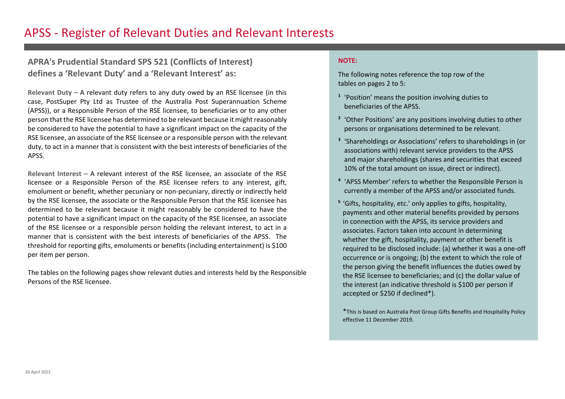#### **APRA's Prudential Standard SPS 521 (Conflicts of Interest) defines a 'Relevant Duty' and a 'Relevant Interest' as:**

**Relevant Duty –** A relevant duty refers to any duty owed by an RSE licensee (in this case, PostSuper Pty Ltd as Trustee of the Australia Post Superannuation Scheme (APSS)), or a Responsible Person of the RSE licensee, to beneficiaries or to any other person that the RSE licensee has determined to be relevant because it might reasonably be considered to have the potential to have a significant impact on the capacity of the RSE licensee, an associate of the RSE licensee or a responsible person with the relevant duty, to act in a manner that is consistent with the best interests of beneficiaries of the APSS.

**Relevant Interest –** A relevant interest of the RSE licensee, an associate of the RSE licensee or a Responsible Person of the RSE licensee refers to any interest, gift, emolument or benefit, whether pecuniary or non-pecuniary, directly or indirectly held by the RSE licensee, the associate or the Responsible Person that the RSE licensee has determined to be relevant because it might reasonably be considered to have the potential to have a significant impact on the capacity of the RSE licensee, an associate of the RSE licensee or a responsible person holding the relevant interest, to act in a manner that is consistent with the best interests of beneficiaries of the APSS. The threshold for reporting gifts, emoluments or benefits (including entertainment) is \$100 per item per person.

The tables on the following pages show relevant duties and interests held by the Responsible Persons of the RSE licensee.

#### **NOTE:**

The following notes reference the top row of the tables on pages 2 to 5:

- **<sup>1</sup>** 'Position' means the position involving duties to beneficiaries of the APSS.
- **<sup>2</sup>** 'Other Positions' are any positions involving duties to other persons or organisations determined to be relevant.
- **<sup>3</sup>** 'Shareholdings or Associations' refers to shareholdings in (or associations with) relevant service providers to the APSS and major shareholdings (shares and securities that exceed 10% of the total amount on issue, direct or indirect).
- **<sup>4</sup>** 'APSS Member' refers to whether the Responsible Person is currently a member of the APSS and/or associated funds.
- **<sup>5</sup>** 'Gifts, hospitality, etc.' only applies to gifts, hospitality, payments and other material benefits provided by persons in connection with the APSS, its service providers and associates. Factors taken into account in determining whether the gift, hospitality, payment or other benefit is required to be disclosed include: (a) whether it was a one-off occurrence or is ongoing; (b) the extent to which the role of the person giving the benefit influences the duties owed by the RSE licensee to beneficiaries; and (c) the dollar value of the interest (an indicative threshold is \$100 per person if accepted or \$250 if declined\*).

\*This is based on Australia Post Group Gifts Benefits and Hospitality Policy effective 11 December 2019.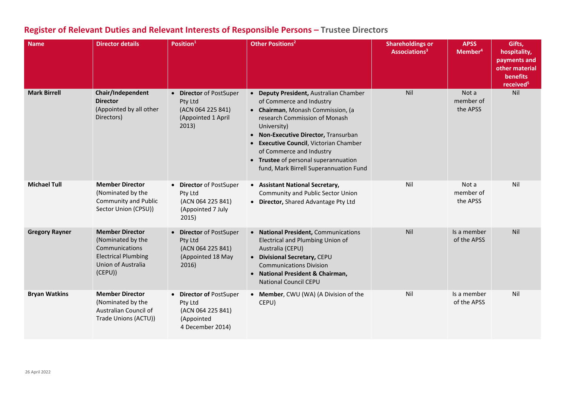| <b>Name</b>           | <b>Director details</b>                                                                                                     | Position <sup>1</sup>                                                                     | <b>Other Positions<sup>2</sup></b>                                                                                                                                                                                                                                                                                                                      | <b>Shareholdings or</b><br>Associations <sup>3</sup> | <b>APSS</b><br>Member <sup>4</sup> | Gifts,<br>hospitality,<br>payments and<br>other material<br>benefits<br>received <sup>5</sup> |
|-----------------------|-----------------------------------------------------------------------------------------------------------------------------|-------------------------------------------------------------------------------------------|---------------------------------------------------------------------------------------------------------------------------------------------------------------------------------------------------------------------------------------------------------------------------------------------------------------------------------------------------------|------------------------------------------------------|------------------------------------|-----------------------------------------------------------------------------------------------|
| <b>Mark Birrell</b>   | Chair/Independent<br><b>Director</b><br>(Appointed by all other<br>Directors)                                               | • Director of PostSuper<br>Pty Ltd<br>(ACN 064 225 841)<br>(Appointed 1 April<br>2013)    | • Deputy President, Australian Chamber<br>of Commerce and Industry<br>• Chairman, Monash Commission, (a<br>research Commission of Monash<br>University)<br>• Non-Executive Director, Transurban<br>• Executive Council, Victorian Chamber<br>of Commerce and Industry<br>• Trustee of personal superannuation<br>fund, Mark Birrell Superannuation Fund | Nil                                                  | Not a<br>member of<br>the APSS     | Nil                                                                                           |
| <b>Michael Tull</b>   | <b>Member Director</b><br>(Nominated by the<br><b>Community and Public</b><br>Sector Union (CPSU))                          | • Director of PostSuper<br>Pty Ltd<br>(ACN 064 225 841)<br>(Appointed 7 July<br>2015)     | • Assistant National Secretary,<br>Community and Public Sector Union<br>• Director, Shared Advantage Pty Ltd                                                                                                                                                                                                                                            | Nil                                                  | Not a<br>member of<br>the APSS     | Nil                                                                                           |
| <b>Gregory Rayner</b> | <b>Member Director</b><br>(Nominated by the<br>Communications<br><b>Electrical Plumbing</b><br>Union of Australia<br>(CEPU) | • Director of PostSuper<br>Pty Ltd<br>(ACN 064 225 841)<br>(Appointed 18 May<br>2016)     | • National President, Communications<br>Electrical and Plumbing Union of<br>Australia (CEPU)<br>• Divisional Secretary, CEPU<br><b>Communications Division</b><br>• National President & Chairman,<br><b>National Council CEPU</b>                                                                                                                      | Nil                                                  | Is a member<br>of the APSS         | Nil                                                                                           |
| <b>Bryan Watkins</b>  | <b>Member Director</b><br>(Nominated by the<br>Australian Council of<br>Trade Unions (ACTU))                                | • Director of PostSuper<br>Pty Ltd<br>(ACN 064 225 841)<br>(Appointed<br>4 December 2014) | • Member, CWU (WA) (A Division of the<br>CEPU)                                                                                                                                                                                                                                                                                                          | Nil                                                  | Is a member<br>of the APSS         | Nil                                                                                           |

# **Register of Relevant Duties and Relevant Interests of Responsible Persons – Trustee Directors**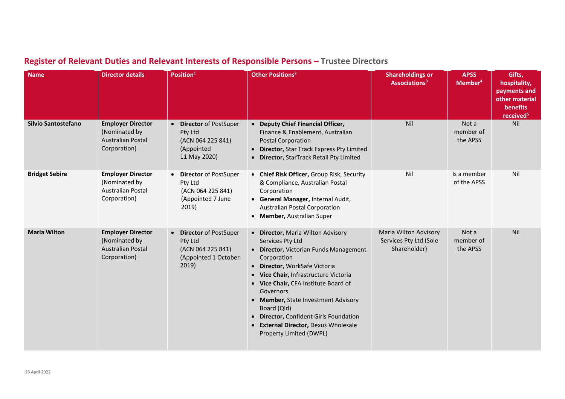| <b>Name</b>           | <b>Director details</b>                                                               | Position <sup>1</sup>                                                                                      | <b>Other Positions<sup>2</sup></b>                                                                                                                                                                                                                                                                                                                                                                                          | <b>Shareholdings or</b><br>Associations <sup>3</sup>            | <b>APSS</b><br>Member <sup>4</sup> | Gifts,<br>hospitality,<br>payments and<br>other material<br>benefits<br>received <sup>5</sup> |
|-----------------------|---------------------------------------------------------------------------------------|------------------------------------------------------------------------------------------------------------|-----------------------------------------------------------------------------------------------------------------------------------------------------------------------------------------------------------------------------------------------------------------------------------------------------------------------------------------------------------------------------------------------------------------------------|-----------------------------------------------------------------|------------------------------------|-----------------------------------------------------------------------------------------------|
| Silvio Santostefano   | <b>Employer Director</b><br>(Nominated by<br><b>Australian Postal</b><br>Corporation) | <b>Director of PostSuper</b><br>$\bullet$<br>Pty Ltd<br>(ACN 064 225 841)<br>(Appointed<br>11 May 2020)    | • Deputy Chief Financial Officer,<br>Finance & Enablement, Australian<br><b>Postal Corporation</b><br>• Director, Star Track Express Pty Limited<br>Director, StarTrack Retail Pty Limited<br>$\bullet$                                                                                                                                                                                                                     | Nil                                                             | Not a<br>member of<br>the APSS     | Nil                                                                                           |
| <b>Bridget Sebire</b> | <b>Employer Director</b><br>(Nominated by<br><b>Australian Postal</b><br>Corporation) | <b>Director of PostSuper</b><br>$\bullet$<br>Pty Ltd<br>(ACN 064 225 841)<br>(Appointed 7 June<br>2019)    | • Chief Risk Officer, Group Risk, Security<br>& Compliance, Australian Postal<br>Corporation<br>• General Manager, Internal Audit,<br><b>Australian Postal Corporation</b><br>• Member, Australian Super                                                                                                                                                                                                                    | Nil                                                             | Is a member<br>of the APSS         | Nil                                                                                           |
| <b>Maria Wilton</b>   | <b>Employer Director</b><br>(Nominated by<br><b>Australian Postal</b><br>Corporation) | <b>Director of PostSuper</b><br>$\bullet$<br>Pty Ltd<br>(ACN 064 225 841)<br>(Appointed 1 October<br>2019) | • Director, Maria Wilton Advisory<br>Services Pty Ltd<br>• Director, Victorian Funds Management<br>Corporation<br>• Director, WorkSafe Victoria<br>• Vice Chair, Infrastructure Victoria<br>• Vice Chair, CFA Institute Board of<br>Governors<br>• Member, State Investment Advisory<br>Board (Qld)<br>Director, Confident Girls Foundation<br>$\bullet$<br>• External Director, Dexus Wholesale<br>Property Limited (DWPL) | Maria Wilton Advisory<br>Services Pty Ltd (Sole<br>Shareholder) | Not a<br>member of<br>the APSS     | Nil                                                                                           |

# **Register of Relevant Duties and Relevant Interests of Responsible Persons – Trustee Directors**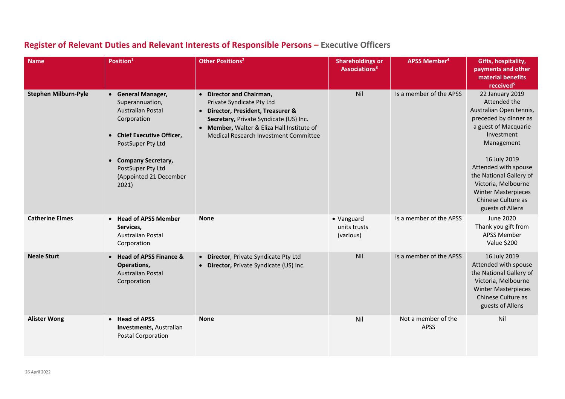| <b>Name</b>                 | Position <sup>1</sup>                                                                                                                                                            | <b>Other Positions<sup>2</sup></b>                                                                                                                                                                                         | <b>Shareholdings or</b><br>Associations <sup>3</sup> | <b>APSS Member<sup>4</sup></b>     | Gifts, hospitality,<br>payments and other<br>material benefits<br>received <sup>5</sup>                                                                                         |
|-----------------------------|----------------------------------------------------------------------------------------------------------------------------------------------------------------------------------|----------------------------------------------------------------------------------------------------------------------------------------------------------------------------------------------------------------------------|------------------------------------------------------|------------------------------------|---------------------------------------------------------------------------------------------------------------------------------------------------------------------------------|
| <b>Stephen Milburn-Pyle</b> | • General Manager,<br>Superannuation,<br><b>Australian Postal</b><br>Corporation<br>• Chief Executive Officer,<br>PostSuper Pty Ltd<br>• Company Secretary,<br>PostSuper Pty Ltd | • Director and Chairman,<br>Private Syndicate Pty Ltd<br>Director, President, Treasurer &<br>Secretary, Private Syndicate (US) Inc.<br>• Member, Walter & Eliza Hall Institute of<br>Medical Research Investment Committee | Nil                                                  | Is a member of the APSS            | 22 January 2019<br>Attended the<br>Australian Open tennis,<br>preceded by dinner as<br>a guest of Macquarie<br>Investment<br>Management<br>16 July 2019<br>Attended with spouse |
|                             | (Appointed 21 December<br>2021)                                                                                                                                                  |                                                                                                                                                                                                                            |                                                      |                                    | the National Gallery of<br>Victoria, Melbourne<br><b>Winter Masterpieces</b><br>Chinese Culture as<br>guests of Allens                                                          |
| <b>Catherine Elmes</b>      | • Head of APSS Member<br>Services,<br><b>Australian Postal</b><br>Corporation                                                                                                    | <b>None</b>                                                                                                                                                                                                                | • Vanguard<br>units trusts<br>(various)              | Is a member of the APSS            | <b>June 2020</b><br>Thank you gift from<br><b>APSS Member</b><br>Value \$200                                                                                                    |
| <b>Neale Sturt</b>          | • Head of APSS Finance &<br>Operations,<br><b>Australian Postal</b><br>Corporation                                                                                               | • Director, Private Syndicate Pty Ltd<br>• Director, Private Syndicate (US) Inc.                                                                                                                                           | Nil                                                  | Is a member of the APSS            | 16 July 2019<br>Attended with spouse<br>the National Gallery of<br>Victoria, Melbourne<br><b>Winter Masterpieces</b><br>Chinese Culture as<br>guests of Allens                  |
| <b>Alister Wong</b>         | <b>Head of APSS</b><br>$\bullet$<br><b>Investments, Australian</b><br><b>Postal Corporation</b>                                                                                  | <b>None</b>                                                                                                                                                                                                                | Nil                                                  | Not a member of the<br><b>APSS</b> | Nil                                                                                                                                                                             |

# **Register of Relevant Duties and Relevant Interests of Responsible Persons – Executive Officers**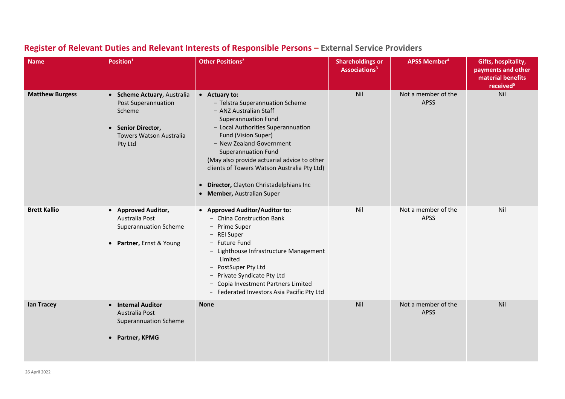| <b>Name</b>            | Position <sup>1</sup>                                                                                                           | Other Positions <sup>2</sup>                                                                                                                                                                                                                                                                                                                                                                                       | <b>Shareholdings or</b><br>Associations <sup>3</sup> | APSS Member <sup>4</sup>           | Gifts, hospitality,<br>payments and other<br>material benefits<br>received <sup>5</sup> |
|------------------------|---------------------------------------------------------------------------------------------------------------------------------|--------------------------------------------------------------------------------------------------------------------------------------------------------------------------------------------------------------------------------------------------------------------------------------------------------------------------------------------------------------------------------------------------------------------|------------------------------------------------------|------------------------------------|-----------------------------------------------------------------------------------------|
| <b>Matthew Burgess</b> | • Scheme Actuary, Australia<br>Post Superannuation<br>Scheme<br>• Senior Director,<br><b>Towers Watson Australia</b><br>Pty Ltd | • Actuary to:<br>- Telstra Superannuation Scheme<br>- ANZ Australian Staff<br><b>Superannuation Fund</b><br>- Local Authorities Superannuation<br>Fund (Vision Super)<br>- New Zealand Government<br><b>Superannuation Fund</b><br>(May also provide actuarial advice to other<br>clients of Towers Watson Australia Pty Ltd)<br>Director, Clayton Christadelphians Inc<br>$\bullet$<br>• Member, Australian Super | Nil                                                  | Not a member of the<br><b>APSS</b> | Nil                                                                                     |
| <b>Brett Kallio</b>    | • Approved Auditor,<br>Australia Post<br><b>Superannuation Scheme</b><br>• Partner, Ernst & Young                               | • Approved Auditor/Auditor to:<br>- China Construction Bank<br>- Prime Super<br>- REI Super<br>- Future Fund<br>- Lighthouse Infrastructure Management<br>Limited<br>- PostSuper Pty Ltd<br>- Private Syndicate Pty Ltd<br>Copia Investment Partners Limited<br>$-$<br>- Federated Investors Asia Pacific Pty Ltd                                                                                                  | Nil                                                  | Not a member of the<br><b>APSS</b> | Nil                                                                                     |
| lan Tracey             | • Internal Auditor<br>Australia Post<br><b>Superannuation Scheme</b><br>• Partner, KPMG                                         | <b>None</b>                                                                                                                                                                                                                                                                                                                                                                                                        | Nil                                                  | Not a member of the<br><b>APSS</b> | Nil                                                                                     |

# **Register of Relevant Duties and Relevant Interests of Responsible Persons – External Service Providers**